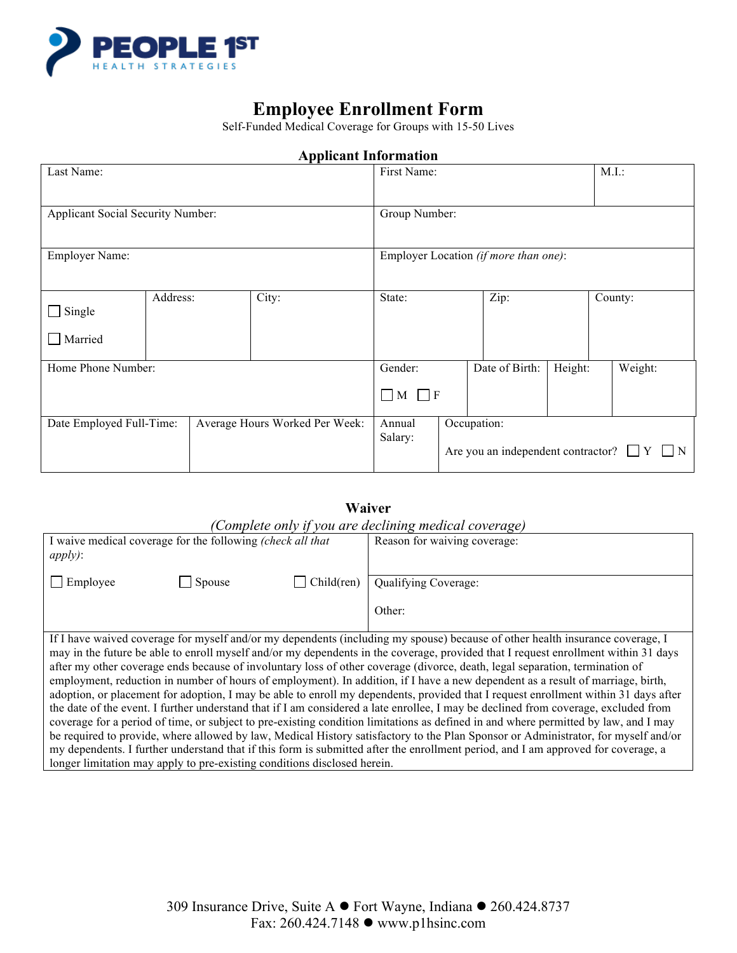

## **Employee Enrollment Form**

Self-Funded Medical Coverage for Groups with 15-50 Lives

# Last Name: M.I.: All and M.I.: All and M.I.: First Name: M.I.: All and M.I.: All and M.I.: All and M.I.: All and M.I.: All and M.I.: All and M.I.: All and M.I.: All and M.I.: All and M.I.: All and M.I.: All and M.I.: All a Applicant Social Security Number: Group Number: Employer Name: Employer Location *(if more than one)*:  $\Box$  Single **Married** Address: City: State: Zip: County: Home Phone Number: Gender:  $\Box$  M  $\Box$  F Date of Birth: | Height: | Weight: Date Employed Full-Time: Average Hours Worked Per Week: Annual Salary: Occupation: Are you an independent contractor?  $\Box$  Y  $\Box$  N

### **Applicant Information**

### **Waiver**  *(Complete only if you are declining medical coverage)*

| Complete only you are accuming meater coverage,                                                                                     |        |           |                              |  |  |
|-------------------------------------------------------------------------------------------------------------------------------------|--------|-----------|------------------------------|--|--|
| I waive medical coverage for the following (check all that                                                                          |        |           | Reason for waiving coverage: |  |  |
| apply):                                                                                                                             |        |           |                              |  |  |
|                                                                                                                                     |        |           |                              |  |  |
| Employee                                                                                                                            | Spouse | Children) | Qualifying Coverage:         |  |  |
|                                                                                                                                     |        |           |                              |  |  |
|                                                                                                                                     |        |           | Other:                       |  |  |
|                                                                                                                                     |        |           |                              |  |  |
| If I have waived coverage for myself and/or my dependents (including my spouse) because of other health insurance coverage, I       |        |           |                              |  |  |
| may in the future be able to enroll myself and/or my dependents in the coverage, provided that I request enrollment within 31 days  |        |           |                              |  |  |
| after my other coverage ends because of involuntary loss of other coverage (divorce, death, legal separation, termination of        |        |           |                              |  |  |
| employment, reduction in number of hours of employment). In addition, if I have a new dependent as a result of marriage, birth,     |        |           |                              |  |  |
| adoption, or placement for adoption, I may be able to enroll my dependents, provided that I request enrollment within 31 days after |        |           |                              |  |  |
| the date of the event. I further understand that if I am considered a late enrollee, I may be declined from coverage, excluded from |        |           |                              |  |  |
| coverage for a period of time, or subject to pre-existing condition limitations as defined in and where permitted by law, and I may |        |           |                              |  |  |
| be required to provide, where allowed by law, Medical History satisfactory to the Plan Sponsor or Administrator, for myself and/or  |        |           |                              |  |  |
| my dependents. I further understand that if this form is submitted after the enrollment period, and I am approved for coverage, a   |        |           |                              |  |  |
| longer limitation may apply to pre-existing conditions disclosed herein.                                                            |        |           |                              |  |  |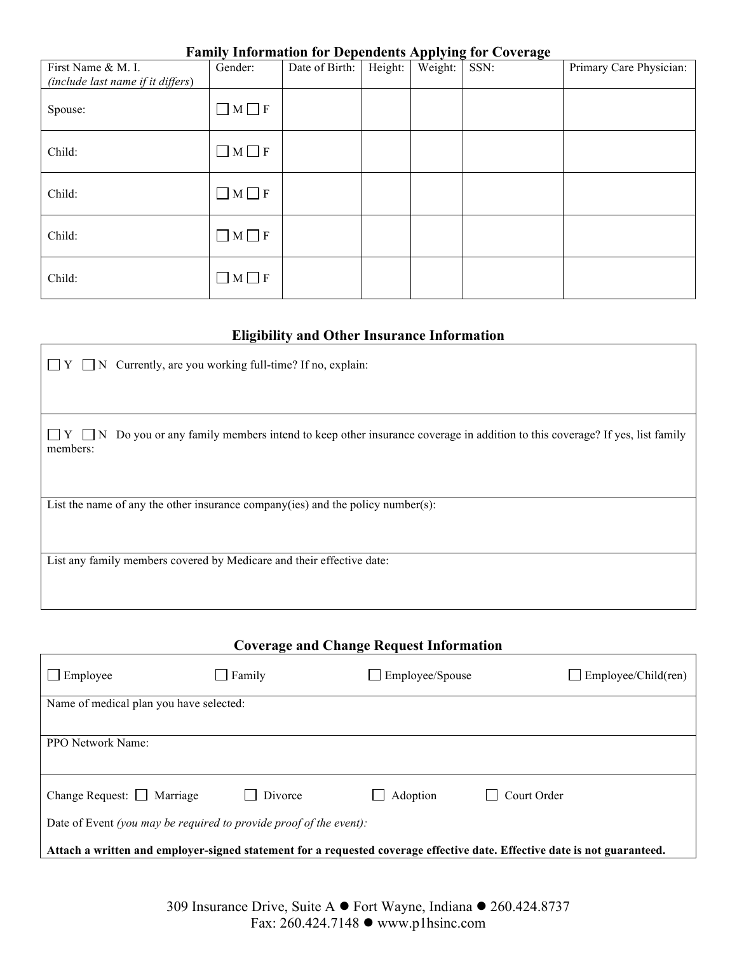### **Family Information for Dependents Applying for Coverage**

| First Name & M. I.<br>(include last name if it differs) | Gender:           | Date of Birth: | Height: | rr v o<br>Weight: | ాం<br>SSN: | Primary Care Physician: |
|---------------------------------------------------------|-------------------|----------------|---------|-------------------|------------|-------------------------|
| Spouse:                                                 | $\Box$ M $\Box$ F |                |         |                   |            |                         |
| Child:                                                  | $\Box$ M $\Box$ F |                |         |                   |            |                         |
| Child:                                                  | $\Box$ M $\Box$ F |                |         |                   |            |                         |
| Child:                                                  | $\Box$ M $\Box$ F |                |         |                   |            |                         |
| Child:                                                  | $\Box$ M $\Box$ F |                |         |                   |            |                         |

### **Eligibility and Other Insurance Information**

| $\Box$ N Currently, are you working full-time? If no, explain:<br>$\Box Y$                                                                         |
|----------------------------------------------------------------------------------------------------------------------------------------------------|
|                                                                                                                                                    |
| $\Box Y \Box N$ Do you or any family members intend to keep other insurance coverage in addition to this coverage? If yes, list family<br>members: |
|                                                                                                                                                    |
| List the name of any the other insurance company (ies) and the policy number $(s)$ :                                                               |
| List any family members covered by Medicare and their effective date:                                                                              |

| <b>Coverage and Change Request Information</b>                                                                            |               |                 |                            |  |  |
|---------------------------------------------------------------------------------------------------------------------------|---------------|-----------------|----------------------------|--|--|
| Employee                                                                                                                  | $\Box$ Family | Employee/Spouse | $\Box$ Employee/Child(ren) |  |  |
| Name of medical plan you have selected:                                                                                   |               |                 |                            |  |  |
|                                                                                                                           |               |                 |                            |  |  |
| <b>PPO</b> Network Name:                                                                                                  |               |                 |                            |  |  |
|                                                                                                                           |               |                 |                            |  |  |
| Change Request: $\Box$ Marriage                                                                                           | Divorce       | Adoption        | Court Order                |  |  |
| Date of Event (you may be required to provide proof of the event):                                                        |               |                 |                            |  |  |
| Attach a written and employer-signed statement for a requested coverage effective date. Effective date is not guaranteed. |               |                 |                            |  |  |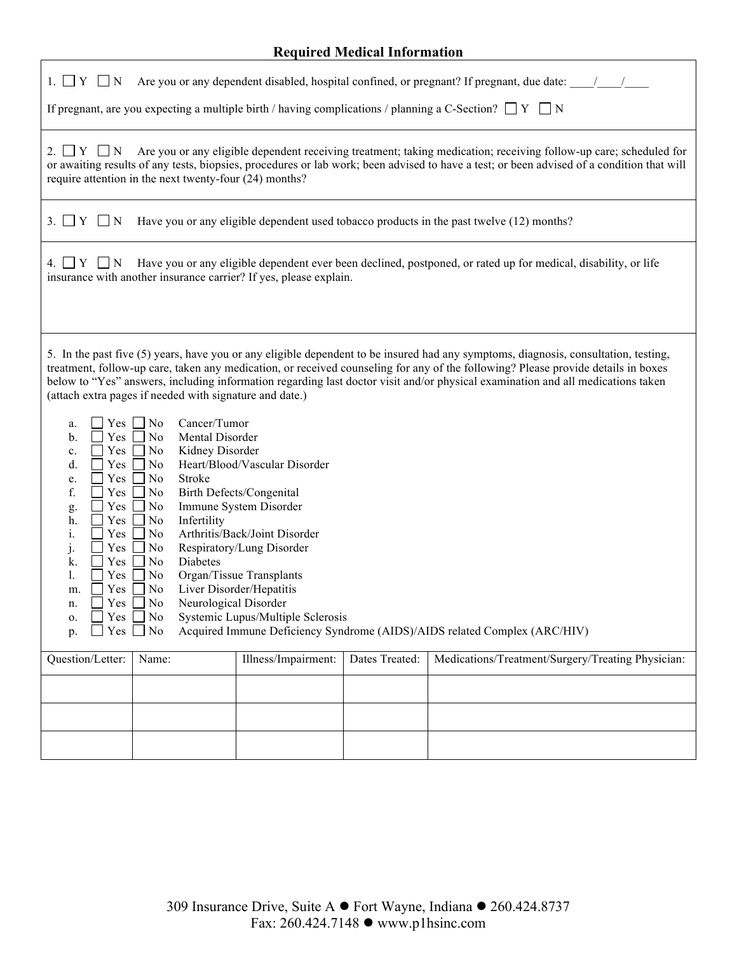### **Required Medical Information**

| $1. \Box Y \Box N$<br>Are you or any dependent disabled, hospital confined, or pregnant? If pregnant, due date: ///                                                                                                                                                                                                                                                                                                                                                                                                                                                                                                                                                                                                                                                                                                                                                                                                                                                                                                                                                                                                                                                                                                                                                                                                                                                                                                                                                                                                       |  |  |  |  |  |
|---------------------------------------------------------------------------------------------------------------------------------------------------------------------------------------------------------------------------------------------------------------------------------------------------------------------------------------------------------------------------------------------------------------------------------------------------------------------------------------------------------------------------------------------------------------------------------------------------------------------------------------------------------------------------------------------------------------------------------------------------------------------------------------------------------------------------------------------------------------------------------------------------------------------------------------------------------------------------------------------------------------------------------------------------------------------------------------------------------------------------------------------------------------------------------------------------------------------------------------------------------------------------------------------------------------------------------------------------------------------------------------------------------------------------------------------------------------------------------------------------------------------------|--|--|--|--|--|
| If pregnant, are you expecting a multiple birth / having complications / planning a C-Section? $\Box$ Y $\Box$ N                                                                                                                                                                                                                                                                                                                                                                                                                                                                                                                                                                                                                                                                                                                                                                                                                                                                                                                                                                                                                                                                                                                                                                                                                                                                                                                                                                                                          |  |  |  |  |  |
| Are you or any eligible dependent receiving treatment; taking medication; receiving follow-up care; scheduled for<br>2. $\Box Y \Box N$<br>or awaiting results of any tests, biopsies, procedures or lab work; been advised to have a test; or been advised of a condition that will<br>require attention in the next twenty-four (24) months?                                                                                                                                                                                                                                                                                                                                                                                                                                                                                                                                                                                                                                                                                                                                                                                                                                                                                                                                                                                                                                                                                                                                                                            |  |  |  |  |  |
| $3. \Box Y \Box N$<br>Have you or any eligible dependent used tobacco products in the past twelve (12) months?                                                                                                                                                                                                                                                                                                                                                                                                                                                                                                                                                                                                                                                                                                                                                                                                                                                                                                                                                                                                                                                                                                                                                                                                                                                                                                                                                                                                            |  |  |  |  |  |
| Have you or any eligible dependent ever been declined, postponed, or rated up for medical, disability, or life<br>4. □ Y □ N<br>insurance with another insurance carrier? If yes, please explain.                                                                                                                                                                                                                                                                                                                                                                                                                                                                                                                                                                                                                                                                                                                                                                                                                                                                                                                                                                                                                                                                                                                                                                                                                                                                                                                         |  |  |  |  |  |
| 5. In the past five (5) years, have you or any eligible dependent to be insured had any symptoms, diagnosis, consultation, testing,<br>treatment, follow-up care, taken any medication, or received counseling for any of the following? Please provide details in boxes<br>below to "Yes" answers, including information regarding last doctor visit and/or physical examination and all medications taken<br>(attach extra pages if needed with signature and date.)<br>$Yes \Box No$<br>Cancer/Tumor<br>a.<br>N <sub>0</sub><br>Mental Disorder<br>$\mathbf b$ .<br>Yes<br>$\mathbf{L}$<br>Kidney Disorder<br>Yes<br>No<br>×.<br>$\mathbf{c}$ .<br>d.<br>Heart/Blood/Vascular Disorder<br>Yes<br>No<br>Yes<br>No<br>Stroke<br>e.<br>f.<br>Birth Defects/Congenital<br>Yes<br>N <sub>0</sub><br>$\blacksquare$<br>Immune System Disorder<br>Yes<br>N <sub>0</sub><br>g.<br>Infertility<br>Yes<br>No<br>h.<br>Arthritis/Back/Joint Disorder<br>No<br>Yes<br>1.<br>Respiratory/Lung Disorder<br>Yes<br>j.<br>No<br>Diabetes<br>Yes<br>No<br>k.<br>Yes<br>Organ/Tissue Transplants<br>$\mathbf{I}$ .<br>No<br>Yes<br>N <sub>0</sub><br>Liver Disorder/Hepatitis<br>m.<br>$\Box$ Yes $\Box$ No<br>Neurological Disorder<br>n.<br>Systemic Lupus/Multiple Sclerosis<br>Yes $\Box$<br>No<br>0.<br>Acquired Immune Deficiency Syndrome (AIDS)/AIDS related Complex (ARC/HIV)<br>$Yes \Box No$<br>p.<br>Illness/Impairment:<br>Medications/Treatment/Surgery/Treating Physician:<br>Question/Letter:<br>Dates Treated:<br>Name: |  |  |  |  |  |
|                                                                                                                                                                                                                                                                                                                                                                                                                                                                                                                                                                                                                                                                                                                                                                                                                                                                                                                                                                                                                                                                                                                                                                                                                                                                                                                                                                                                                                                                                                                           |  |  |  |  |  |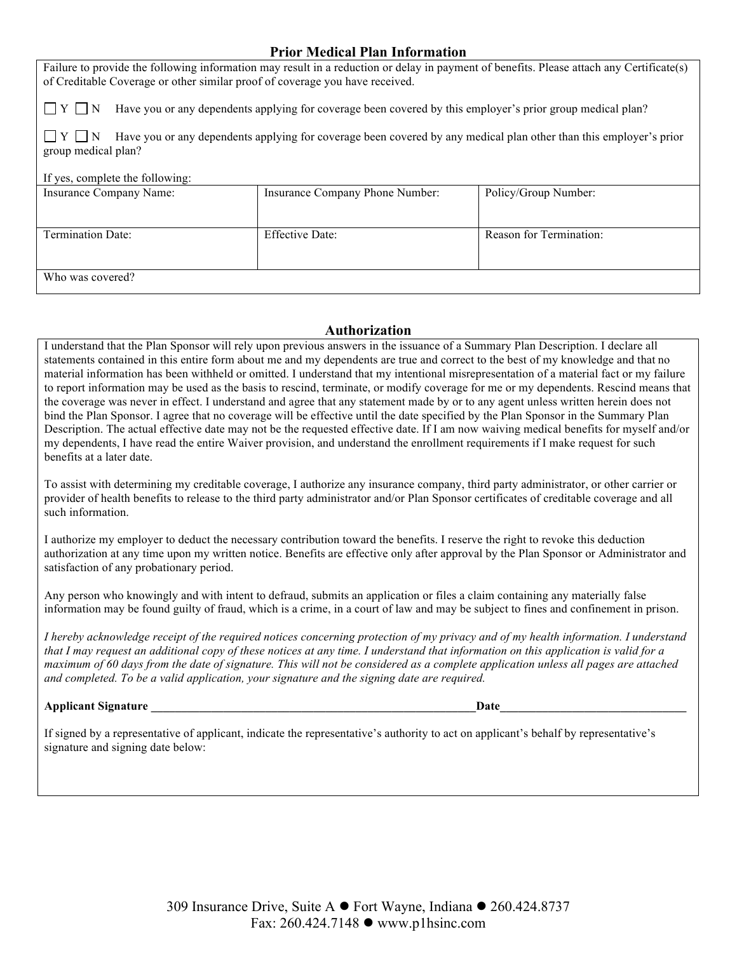### **Prior Medical Plan Information**

Failure to provide the following information may result in a reduction or delay in payment of benefits. Please attach any Certificate(s) of Creditable Coverage or other similar proof of coverage you have received.

 $\Box Y \Box N$  Have you or any dependents applying for coverage been covered by this employer's prior group medical plan?

 $\Box Y \Box N$  Have you or any dependents applying for coverage been covered by any medical plan other than this employer's prior group medical plan?

#### If yes, complete the following:

| Insurance Company Name: | Insurance Company Phone Number: | Policy/Group Number:    |
|-------------------------|---------------------------------|-------------------------|
|                         |                                 |                         |
|                         |                                 |                         |
|                         |                                 |                         |
|                         |                                 |                         |
|                         |                                 |                         |
| Termination Date:       | <b>Effective Date:</b>          | Reason for Termination: |
|                         |                                 |                         |
|                         |                                 |                         |
|                         |                                 |                         |
|                         |                                 |                         |
|                         |                                 |                         |
|                         |                                 |                         |
| Who was covered?        |                                 |                         |
|                         |                                 |                         |
|                         |                                 |                         |

#### **Authorization**

I understand that the Plan Sponsor will rely upon previous answers in the issuance of a Summary Plan Description. I declare all statements contained in this entire form about me and my dependents are true and correct to the best of my knowledge and that no material information has been withheld or omitted. I understand that my intentional misrepresentation of a material fact or my failure to report information may be used as the basis to rescind, terminate, or modify coverage for me or my dependents. Rescind means that the coverage was never in effect. I understand and agree that any statement made by or to any agent unless written herein does not bind the Plan Sponsor. I agree that no coverage will be effective until the date specified by the Plan Sponsor in the Summary Plan Description. The actual effective date may not be the requested effective date. If I am now waiving medical benefits for myself and/or my dependents, I have read the entire Waiver provision, and understand the enrollment requirements if I make request for such benefits at a later date.

To assist with determining my creditable coverage, I authorize any insurance company, third party administrator, or other carrier or provider of health benefits to release to the third party administrator and/or Plan Sponsor certificates of creditable coverage and all such information.

I authorize my employer to deduct the necessary contribution toward the benefits. I reserve the right to revoke this deduction authorization at any time upon my written notice. Benefits are effective only after approval by the Plan Sponsor or Administrator and satisfaction of any probationary period.

Any person who knowingly and with intent to defraud, submits an application or files a claim containing any materially false information may be found guilty of fraud, which is a crime, in a court of law and may be subject to fines and confinement in prison.

*I hereby acknowledge receipt of the required notices concerning protection of my privacy and of my health information. I understand that I may request an additional copy of these notices at any time. I understand that information on this application is valid for a maximum of 60 days from the date of signature. This will not be considered as a complete application unless all pages are attached and completed. To be a valid application, your signature and the signing date are required.*

**Applicant Signature \_\_\_\_\_\_\_\_\_\_\_\_\_\_\_\_\_\_\_\_\_\_\_\_\_\_\_\_\_\_\_\_\_\_\_\_\_\_\_\_\_\_\_\_\_\_\_\_\_\_\_\_\_\_Date\_\_\_\_\_\_\_\_\_\_\_\_\_\_\_\_\_\_\_\_\_\_\_\_\_\_\_\_\_\_\_**

If signed by a representative of applicant, indicate the representative's authority to act on applicant's behalf by representative's signature and signing date below: